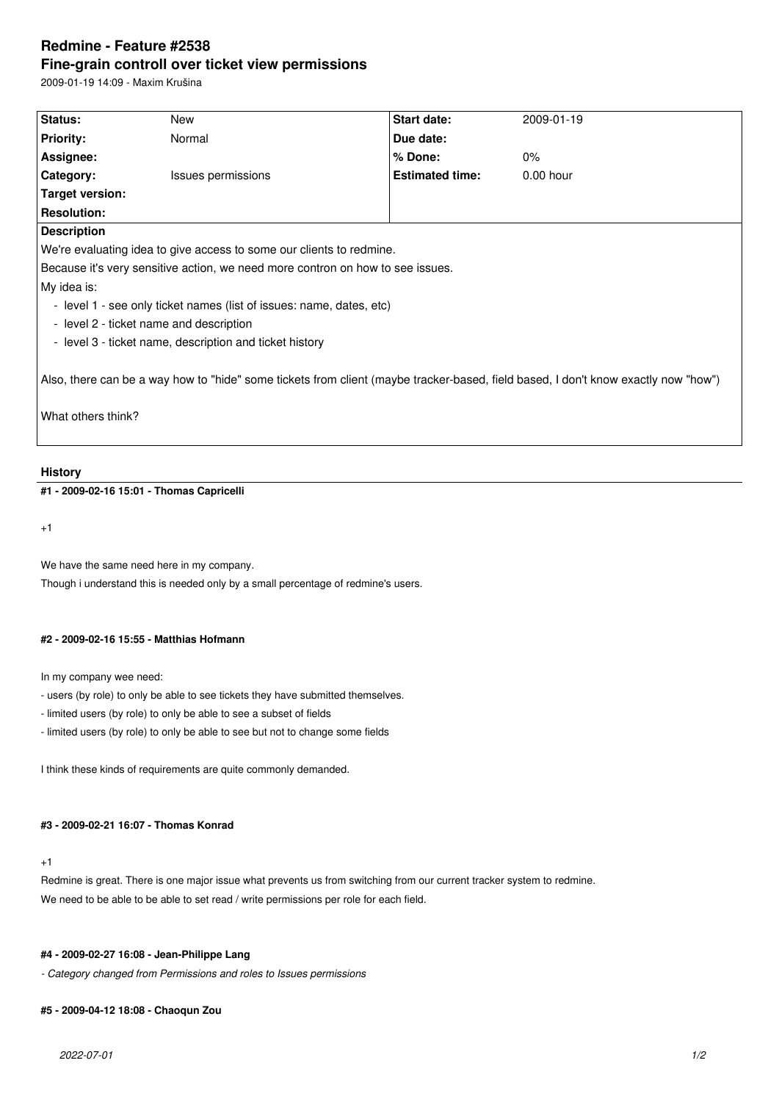# **Redmine - Feature #2538 Fine-grain controll over ticket view permissions**

2009-01-19 14:09 - Maxim Krušina

| <b>Status:</b>                                                                                                                     | New                | Start date:            | 2009-01-19  |
|------------------------------------------------------------------------------------------------------------------------------------|--------------------|------------------------|-------------|
| <b>Priority:</b>                                                                                                                   | Normal             | Due date:              |             |
| Assignee:                                                                                                                          |                    | $%$ Done:              | $0\%$       |
| Category:                                                                                                                          | Issues permissions | <b>Estimated time:</b> | $0.00$ hour |
| Target version:                                                                                                                    |                    |                        |             |
| <b>Resolution:</b>                                                                                                                 |                    |                        |             |
| <b>Description</b>                                                                                                                 |                    |                        |             |
| We're evaluating idea to give access to some our clients to redmine.                                                               |                    |                        |             |
| Because it's very sensitive action, we need more contron on how to see issues.                                                     |                    |                        |             |
| My idea is:                                                                                                                        |                    |                        |             |
| - level 1 - see only ticket names (list of issues: name, dates, etc)                                                               |                    |                        |             |
| - level 2 - ticket name and description                                                                                            |                    |                        |             |
| - level 3 - ticket name, description and ticket history                                                                            |                    |                        |             |
| Also, there can be a way how to "hide" some tickets from client (maybe tracker-based, field based, I don't know exactly now "how") |                    |                        |             |
| What others think?                                                                                                                 |                    |                        |             |

#### **History**

**#1 - 2009-02-16 15:01 - Thomas Capricelli**

+1

We have the same need here in my company.

Though i understand this is needed only by a small percentage of redmine's users.

#### **#2 - 2009-02-16 15:55 - Matthias Hofmann**

In my company wee need:

- users (by role) to only be able to see tickets they have submitted themselves.

- limited users (by role) to only be able to see a subset of fields
- limited users (by role) to only be able to see but not to change some fields

I think these kinds of requirements are quite commonly demanded.

#### **#3 - 2009-02-21 16:07 - Thomas Konrad**

### +1

Redmine is great. There is one major issue what prevents us from switching from our current tracker system to redmine. We need to be able to be able to set read / write permissions per role for each field.

## **#4 - 2009-02-27 16:08 - Jean-Philippe Lang**

*- Category changed from Permissions and roles to Issues permissions*

### **#5 - 2009-04-12 18:08 - Chaoqun Zou**